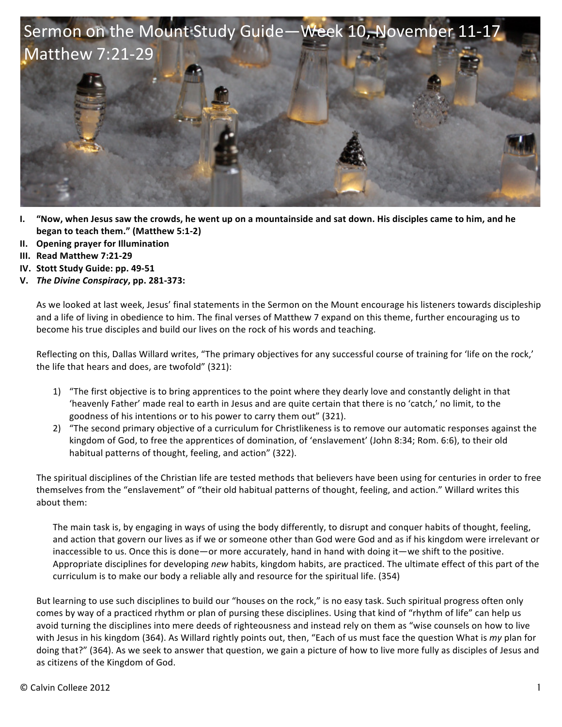

- **I.** "Now, when Jesus saw the crowds, he went up on a mountainside and sat down. His disciples came to him, and he **began to teach them."** (Matthew 5:1-2)
- **II. Opening prayer for Illumination**
- **III. Read Matthew 7:21-29**
- **IV.** Stott Study Guide: pp. 49-51
- **V.** *The Divine Conspiracy***, pp. 281-373:**

As we looked at last week, Jesus' final statements in the Sermon on the Mount encourage his listeners towards discipleship and a life of living in obedience to him. The final verses of Matthew 7 expand on this theme, further encouraging us to become his true disciples and build our lives on the rock of his words and teaching.

Reflecting on this, Dallas Willard writes, "The primary objectives for any successful course of training for 'life on the rock,' the life that hears and does, are twofold"  $(321)$ :

- 1) "The first objective is to bring apprentices to the point where they dearly love and constantly delight in that 'heavenly Father' made real to earth in Jesus and are quite certain that there is no 'catch,' no limit, to the goodness of his intentions or to his power to carry them out" (321).
- 2) "The second primary objective of a curriculum for Christlikeness is to remove our automatic responses against the kingdom of God, to free the apprentices of domination, of 'enslavement' (John 8:34; Rom. 6:6), to their old habitual patterns of thought, feeling, and action" (322).

The spiritual disciplines of the Christian life are tested methods that believers have been using for centuries in order to free themselves from the "enslavement" of "their old habitual patterns of thought, feeling, and action." Willard writes this about them:

The main task is, by engaging in ways of using the body differently, to disrupt and conquer habits of thought, feeling, and action that govern our lives as if we or someone other than God were God and as if his kingdom were irrelevant or inaccessible to us. Once this is done—or more accurately, hand in hand with doing it—we shift to the positive. Appropriate disciplines for developing *new* habits, kingdom habits, are practiced. The ultimate effect of this part of the curriculum is to make our body a reliable ally and resource for the spiritual life. (354)

But learning to use such disciplines to build our "houses on the rock," is no easy task. Such spiritual progress often only comes by way of a practiced rhythm or plan of pursing these disciplines. Using that kind of "rhythm of life" can help us avoid turning the disciplines into mere deeds of righteousness and instead rely on them as "wise counsels on how to live with Jesus in his kingdom (364). As Willard rightly points out, then, "Each of us must face the question What is my plan for doing that?" (364). As we seek to answer that question, we gain a picture of how to live more fully as disciples of Jesus and as citizens of the Kingdom of God.